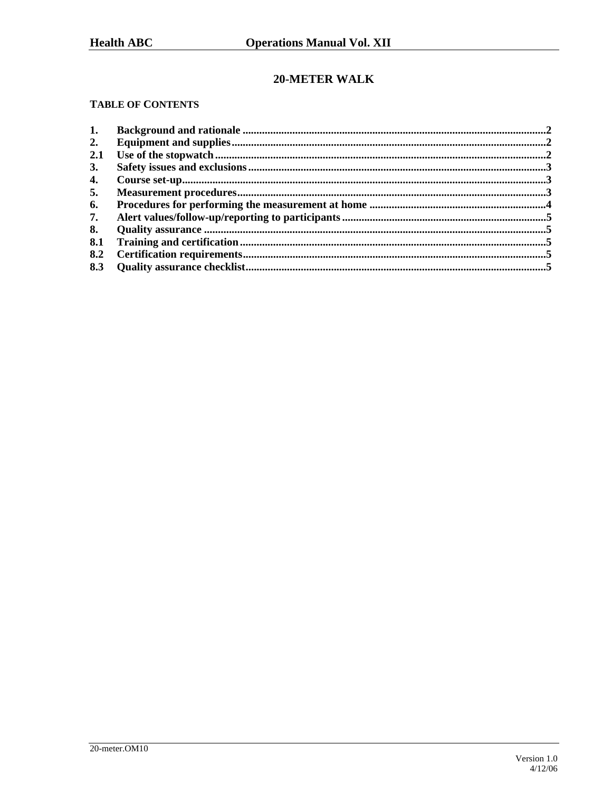# 20-METER WALK

### **TABLE OF CONTENTS**

| 1.  |  |
|-----|--|
| 2.  |  |
| 2.1 |  |
| 3.  |  |
| 4.  |  |
| 5.  |  |
| 6.  |  |
| 7.  |  |
| 8.  |  |
| 8.1 |  |
| 8.2 |  |
| 8.3 |  |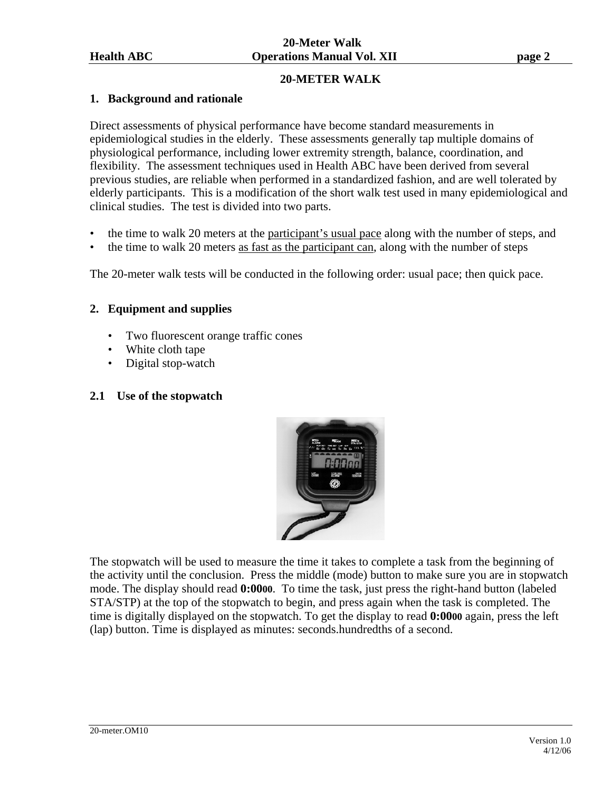### **20-METER WALK**

#### **1. Background and rationale**

Direct assessments of physical performance have become standard measurements in epidemiological studies in the elderly. These assessments generally tap multiple domains of physiological performance, including lower extremity strength, balance, coordination, and flexibility. The assessment techniques used in Health ABC have been derived from several previous studies, are reliable when performed in a standardized fashion, and are well tolerated by elderly participants. This is a modification of the short walk test used in many epidemiological and clinical studies. The test is divided into two parts.

- the time to walk 20 meters at the participant's usual pace along with the number of steps, and
- the time to walk 20 meters as fast as the participant can, along with the number of steps

The 20-meter walk tests will be conducted in the following order: usual pace; then quick pace.

#### **2. Equipment and supplies**

- Two fluorescent orange traffic cones
- White cloth tape
- Digital stop-watch

#### **2.1 Use of the stopwatch**



The stopwatch will be used to measure the time it takes to complete a task from the beginning of the activity until the conclusion. Press the middle (mode) button to make sure you are in stopwatch mode. The display should read **0:0000**. To time the task, just press the right-hand button (labeled STA/STP) at the top of the stopwatch to begin, and press again when the task is completed. The time is digitally displayed on the stopwatch. To get the display to read **0:0000** again, press the left (lap) button. Time is displayed as minutes: seconds.hundredths of a second.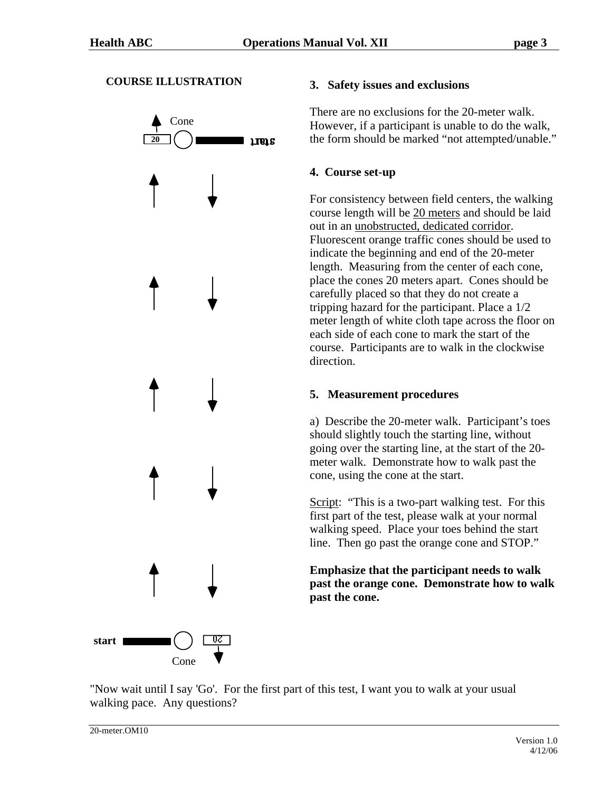### **COURSE ILLUSTRATION**



#### **3. Safety issues and exclusions**

There are no exclusions for the 20-meter walk. However, if a participant is unable to do the walk, the form should be marked "not attempted/unable."

### **4. Course set-up**

For consistency between field centers, the walking course length will be 20 meters and should be laid out in an unobstructed, dedicated corridor. Fluorescent orange traffic cones should be used to indicate the beginning and end of the 20-meter length. Measuring from the center of each cone, place the cones 20 meters apart. Cones should be carefully placed so that they do not create a tripping hazard for the participant. Place a 1/2 meter length of white cloth tape across the floor on each side of each cone to mark the start of the course. Participants are to walk in the clockwise direction.

## **5. Measurement procedures**

a) Describe the 20-meter walk. Participant's toes should slightly touch the starting line, without going over the starting line, at the start of the 20 meter walk. Demonstrate how to walk past the cone, using the cone at the start.

Script: "This is a two-part walking test. For this first part of the test, please walk at your normal walking speed. Place your toes behind the start line. Then go past the orange cone and STOP."

**Emphasize that the participant needs to walk past the orange cone. Demonstrate how to walk past the cone.**

"Now wait until I say 'Go'. For the first part of this test, I want you to walk at your usual walking pace. Any questions?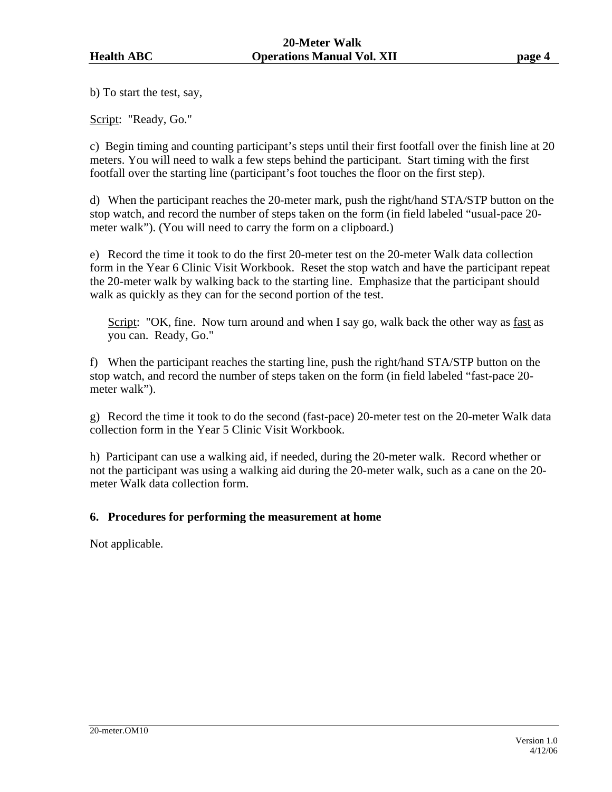b) To start the test, say,

Script: "Ready, Go."

c) Begin timing and counting participant's steps until their first footfall over the finish line at 20 meters. You will need to walk a few steps behind the participant. Start timing with the first footfall over the starting line (participant's foot touches the floor on the first step).

d) When the participant reaches the 20-meter mark, push the right/hand STA/STP button on the stop watch, and record the number of steps taken on the form (in field labeled "usual-pace 20 meter walk"). (You will need to carry the form on a clipboard.)

e) Record the time it took to do the first 20-meter test on the 20-meter Walk data collection form in the Year 6 Clinic Visit Workbook. Reset the stop watch and have the participant repeat the 20-meter walk by walking back to the starting line. Emphasize that the participant should walk as quickly as they can for the second portion of the test.

Script: "OK, fine. Now turn around and when I say go, walk back the other way as fast as you can. Ready, Go."

f) When the participant reaches the starting line, push the right/hand STA/STP button on the stop watch, and record the number of steps taken on the form (in field labeled "fast-pace 20 meter walk").

g) Record the time it took to do the second (fast-pace) 20-meter test on the 20-meter Walk data collection form in the Year 5 Clinic Visit Workbook.

h) Participant can use a walking aid, if needed, during the 20-meter walk. Record whether or not the participant was using a walking aid during the 20-meter walk, such as a cane on the 20 meter Walk data collection form.

#### **6. Procedures for performing the measurement at home**

Not applicable.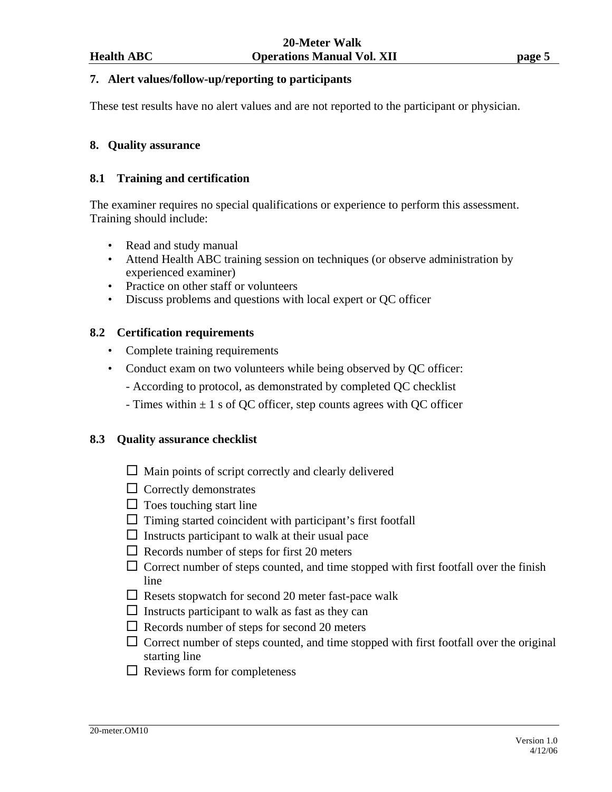#### **7. Alert values/follow-up/reporting to participants**

These test results have no alert values and are not reported to the participant or physician.

#### **8. Quality assurance**

#### **8.1 Training and certification**

The examiner requires no special qualifications or experience to perform this assessment. Training should include:

- Read and study manual
- Attend Health ABC training session on techniques (or observe administration by experienced examiner)
- Practice on other staff or volunteers
- Discuss problems and questions with local expert or QC officer

#### **8.2 Certification requirements**

- Complete training requirements
- Conduct exam on two volunteers while being observed by QC officer:
	- According to protocol, as demonstrated by completed QC checklist
	- Times within  $\pm 1$  s of QC officer, step counts agrees with QC officer

#### **8.3 Quality assurance checklist**

- $\Box$  Main points of script correctly and clearly delivered
- $\Box$  Correctly demonstrates
- $\Box$  Toes touching start line
- $\Box$  Timing started coincident with participant's first footfall
- $\Box$  Instructs participant to walk at their usual pace
- $\Box$  Records number of steps for first 20 meters
- $\Box$  Correct number of steps counted, and time stopped with first footfall over the finish line
- $\Box$  Resets stopwatch for second 20 meter fast-pace walk
- $\Box$  Instructs participant to walk as fast as they can
- $\Box$  Records number of steps for second 20 meters
- $\Box$  Correct number of steps counted, and time stopped with first footfall over the original starting line
- $\Box$  Reviews form for completeness